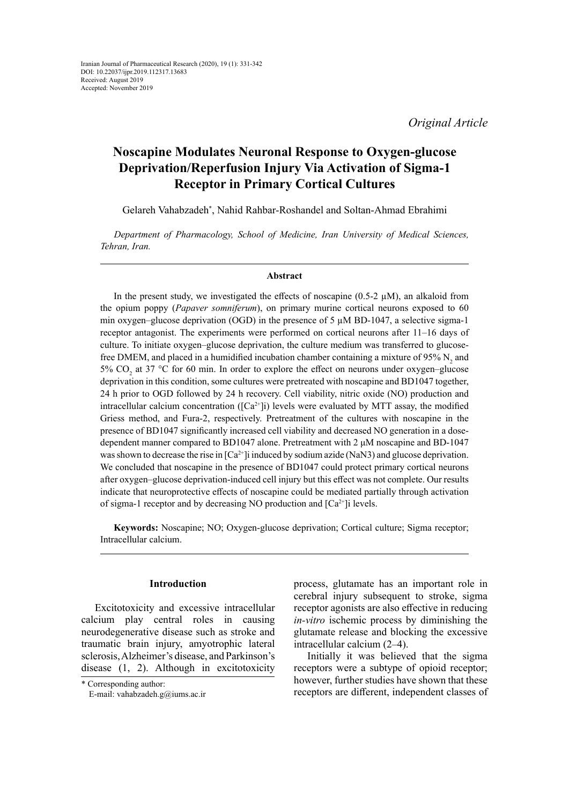*Original Article*

# **Noscapine Modulates Neuronal Response to Oxygen-glucose Deprivation/Reperfusion Injury Via Activation of Sigma-1 Receptor in Primary Cortical Cultures**

Gelareh Vahabzadeh\* , Nahid Rahbar-Roshandel and Soltan-Ahmad Ebrahimi

*Department of Pharmacology, School of Medicine, Iran University of Medical Sciences, Tehran, Iran.*

#### **Abstract**

In the present study, we investigated the effects of noscapine (0.5-2  $\mu$ M), an alkaloid from the opium poppy (*Papaver somniferum*), on primary murine cortical neurons exposed to 60 min oxygen–glucose deprivation (OGD) in the presence of 5  $\mu$ M BD-1047, a selective sigma-1 receptor antagonist. The experiments were performed on cortical neurons after 11–16 days of culture. To initiate oxygen–glucose deprivation, the culture medium was transferred to glucosefree DMEM, and placed in a humidified incubation chamber containing a mixture of 95%  $N_2$  and 5%  $CO_2$  at 37 °C for 60 min. In order to explore the effect on neurons under oxygen–glucose deprivation in this condition, some cultures were pretreated with noscapine and BD1047 together, 24 h prior to OGD followed by 24 h recovery. Cell viability, nitric oxide (NO) production and intracellular calcium concentration ( $[Ca^{2+}]$ i) levels were evaluated by MTT assay, the modified Griess method, and Fura-2, respectively. Pretreatment of the cultures with noscapine in the presence of BD1047 significantly increased cell viability and decreased NO generation in a dosedependent manner compared to BD1047 alone. Pretreatment with 2 μM noscapine and BD-1047 was shown to decrease the rise in  $[Ca^{2+}]$  induced by sodium azide (NaN3) and glucose deprivation. We concluded that noscapine in the presence of BD1047 could protect primary cortical neurons after oxygen–glucose deprivation-induced cell injury but this effect was not complete. Our results indicate that neuroprotective effects of noscapine could be mediated partially through activation of sigma-1 receptor and by decreasing NO production and  $[Ca^{2+}]\iota$  levels.

**Keywords:** Noscapine; NO; Oxygen-glucose deprivation; Cortical culture; Sigma receptor; Intracellular calcium.

# **Introduction**

Excitotoxicity and excessive intracellular calcium play central roles in causing neurodegenerative disease such as stroke and traumatic brain injury, amyotrophic lateral sclerosis, Alzheimer's disease, and Parkinson's disease (1, 2). Although in excitotoxicity

\* Corresponding author: E-mail: vahabzadeh.g@iums.ac.ir process, glutamate has an important role in cerebral injury subsequent to stroke, sigma receptor agonists are also effective in reducing *in-vitro* ischemic process by diminishing the glutamate release and blocking the excessive intracellular calcium (2–4).

Initially it was believed that the sigma receptors were a subtype of opioid receptor; however, further studies have shown that these receptors are different, independent classes of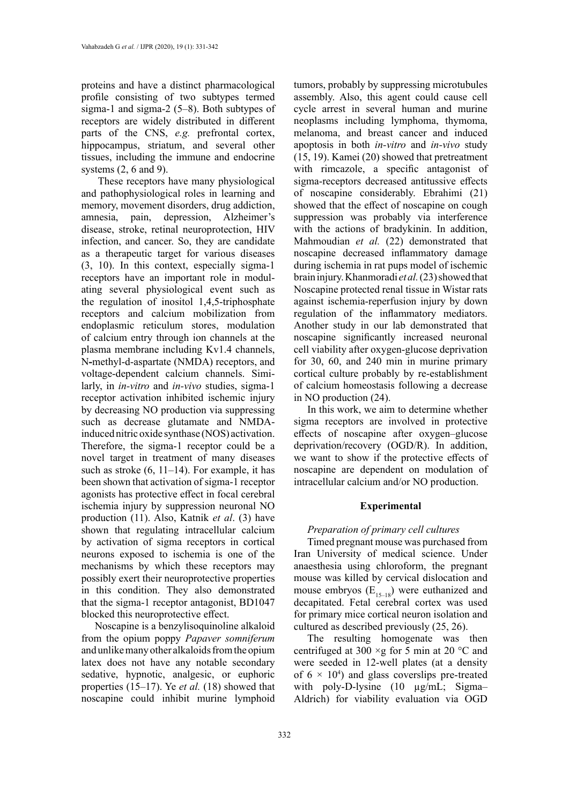proteins and have a distinct pharmacological profile consisting of two subtypes termed sigma-1 and sigma-2 (5–8). Both subtypes of receptors are widely distributed in different parts of the CNS, *e.g.* prefrontal cortex, hippocampus, striatum, and several other tissues, including the immune and endocrine systems (2, 6 and 9).

 These receptors have many physiological and pathophysiological roles in learning and memory, movement disorders, drug addiction, amnesia, pain, depression, Alzheimer's disease, stroke, retinal neuroprotection, HIV infection, and cancer. So, they are candidate as a therapeutic target for various diseases (3, 10). In this context, especially sigma-1 receptors have an important role in modulating several physiological event such as the regulation of inositol 1,4,5-triphosphate receptors and calcium mobilization from endoplasmic reticulum stores, modulation of calcium entry through ion channels at the plasma membrane including Kv1.4 channels, N**-**methyl-d-aspartate (NMDA) receptors, and voltage-dependent calcium channels. Similarly, in *in-vitro* and *in-vivo* studies, sigma-1 receptor activation inhibited ischemic injury by decreasing NO production via suppressing such as decrease glutamate and NMDAinduced nitric oxide synthase (NOS) activation. Therefore, the sigma-1 receptor could be a novel target in treatment of many diseases such as stroke  $(6, 11-14)$ . For example, it has been shown that activation of sigma-1 receptor agonists has protective effect in focal cerebral ischemia injury by suppression neuronal NO production (11). Also, Katnik *et al*. (3) have shown that regulating intracellular calcium by activation of sigma receptors in cortical neurons exposed to ischemia is one of the mechanisms by which these receptors may possibly exert their neuroprotective properties in this condition. They also demonstrated that the sigma-1 receptor antagonist, BD1047 blocked this neuroprotective effect.

Noscapine is a [benzylisoquinoline](https://en.wikipedia.org/wiki/Benzylisoquinoline) [alkaloid](https://en.wikipedia.org/wiki/Alkaloid)  from the opium poppy *Papaver somniferum* and unlike many other alkaloids from the opium latex does not have any notable secondary sedative, hypnotic, analgesic, or euphoric properties (15–17). Ye *et al.* (18) showed that noscapine could inhibit murine lymphoid

tumors, probably by suppressing microtubules assembly. Also, this agent could cause cell cycle arrest in several human and murine neoplasms including lymphoma, thymoma, melanoma, and breast cancer and induced apoptosis in both *in-vitro* and *in-vivo* study (15, 19). Kamei (20) showed that pretreatment with rimcazole, a specific antagonist of sigma-receptors decreased antitussive effects of noscapine considerably. Ebrahimi (21) showed that the effect of noscapine on cough suppression was probably via interference with the actions of bradykinin. In addition, Mahmoudian *et al.* (22) demonstrated that noscapine decreased inflammatory damage during ischemia in rat pups model of ischemic brain injury. Khanmoradi *et al.* (23) showed that Noscapine protected renal tissue in Wistar rats against ischemia-reperfusion injury by down regulation of the inflammatory mediators. Another study in our lab demonstrated that noscapine significantly increased neuronal cell viability after oxygen-glucose deprivation for 30, 60, and 240 min in murine primary cortical culture probably by re-establishment of calcium homeostasis following a decrease in NO production (24).

In this work, we aim to determine whether sigma receptors are involved in protective effects of noscapine after oxygen–glucose deprivation/recovery (OGD/R). In addition, we want to show if the protective effects of noscapine are dependent on modulation of intracellular calcium and/or NO production.

# **Experimental**

### *Preparation of primary cell cultures*

Timed pregnant mouse was purchased from Iran University of medical science. Under anaesthesia using chloroform, the pregnant mouse was killed by cervical dislocation and mouse embryos  $(E_{15-18})$  were euthanized and decapitated. Fetal cerebral cortex was used for primary mice cortical neuron isolation and cultured as described previously (25, 26).

The resulting homogenate was then centrifuged at 300  $\times$ g for 5 min at 20  $\rm{^{\circ}C}$  and were seeded in 12-well plates (at a density of  $6 \times 10^4$ ) and glass coverslips pre-treated with poly-D-lysine (10 µg/mL; Sigma-Aldrich) for viability evaluation via OGD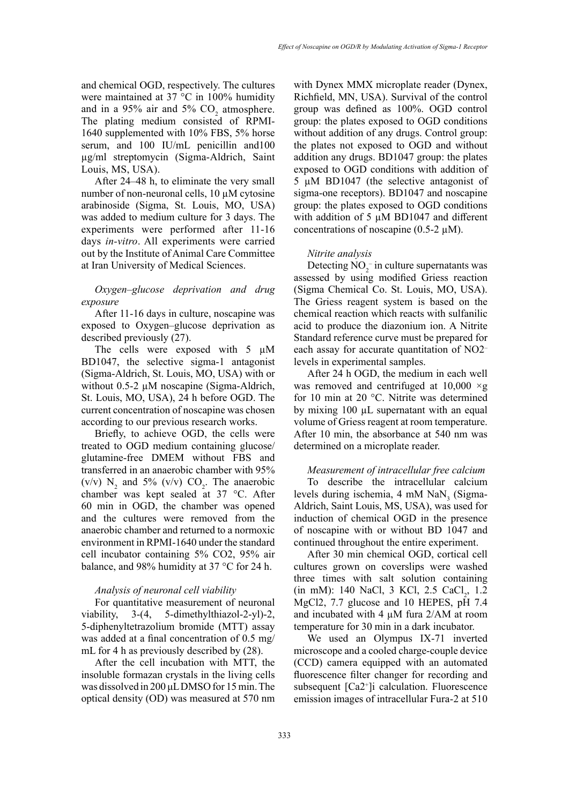and chemical OGD, respectively. The cultures were maintained at 37 °C in 100% humidity and in a  $95\%$  air and  $5\%$  CO<sub>2</sub> atmosphere. The plating medium consisted of RPMI-1640 supplemented with 10% FBS, 5% horse serum, and 100 IU/mL penicillin and100 µg/ml streptomycin (Sigma-Aldrich, Saint Louis, MS, USA).

After 24–48 h, to eliminate the very small number of non-neuronal cells, 10 µM cytosine arabinoside (Sigma, St. Louis, MO, USA) was added to medium culture for 3 days. The experiments were performed after 11-16 days *in-vitro*. All experiments were carried out by the Institute of Animal Care Committee at Iran University of Medical Sciences.

# *Oxygen–glucose deprivation and drug exposure*

After 11-16 days in culture, noscapine was exposed to Oxygen–glucose deprivation as described previously (27).

The cells were exposed with 5  $\mu$ M BD1047, the selective sigma-1 antagonist (Sigma-Aldrich, St. Louis, MO, USA) with or without 0.5-2 µM noscapine (Sigma-Aldrich, St. Louis, MO, USA), 24 h before OGD. The current concentration of noscapine was chosen according to our previous research works.

Briefly, to achieve OGD, the cells were treated to OGD medium containing glucose/ glutamine-free DMEM without FBS and transferred in an anaerobic chamber with 95% (v/v)  $N_2$  and 5% (v/v)  $CO_2$ . The anaerobic chamber was kept sealed at 37 °C. After 60 min in OGD, the chamber was opened and the cultures were removed from the anaerobic chamber and returned to a normoxic environment in RPMI-1640 under the standard cell incubator containing 5% CO2, 95% air balance, and 98% humidity at 37 °C for 24 h.

# *Analysis of neuronal cell viability*

For quantitative measurement of neuronal viability, 3-(4, 5-dimethylthiazol-2-yl)-2, 5-diphenyltetrazolium bromide (MTT) assay was added at a final concentration of 0.5 mg/ mL for 4 h as previously described by  $(28)$ .

After the cell incubation with MTT, the insoluble formazan crystals in the living cells was dissolved in 200 μL DMSO for 15 min. The optical density (OD) was measured at 570 nm with Dynex MMX microplate reader (Dynex, Richfield, MN, USA). Survival of the control group was defined as 100%. OGD control group: the plates exposed to OGD conditions without addition of any drugs. Control group: the plates not exposed to OGD and without addition any drugs. BD1047 group: the plates exposed to OGD conditions with addition of 5 µM BD1047 (the selective antagonist of sigma-one receptors). BD1047 and noscapine group: the plates exposed to OGD conditions with addition of 5  $\mu$ M BD1047 and different concentrations of noscapine  $(0.5\n-2 \mu M)$ .

#### *Nitrite analysis*

Detecting  $NO_2^-$  in culture supernatants was assessed by using modified Griess reaction (Sigma Chemical Co. St. Louis, MO, USA). The Griess reagent system is based on the chemical reaction which reacts with sulfanilic acid to produce the diazonium ion. A Nitrite Standard reference curve must be prepared for each assay for accurate quantitation of NO2– levels in experimental samples.

After 24 h OGD, the medium in each well was removed and centrifuged at  $10,000 \times g$ for 10 min at 20 °C. Nitrite was determined by mixing 100 µL supernatant with an equal volume of Griess reagent at room temperature. After 10 min, the absorbance at 540 nm was determined on a microplate reader.

*Measurement of intracellular free calcium* To describe the intracellular calcium levels during ischemia,  $4 \text{ mM }$  NaN<sub>3</sub> (Sigma-Aldrich, Saint Louis, MS, USA), was used for induction of chemical OGD in the presence of noscapine with or without BD 1047 and continued throughout the entire experiment.

After 30 min chemical OGD, cortical cell cultures grown on coverslips were washed three times with salt solution containing (in mM): 140 NaCl, 3 KCl, 2.5 CaCl<sub>2</sub>, 1.2 MgCl2, 7.7 glucose and 10 HEPES, pH 7.4 and incubated with 4  $\mu$ M fura 2/AM at room temperature for 30 min in a dark incubator.

We used an Olympus IX-71 inverted microscope and a cooled charge-couple device (CCD) camera equipped with an automated fluorescence filter changer for recording and subsequent [Ca2+ ]i calculation. Fluorescence emission images of intracellular Fura-2 at 510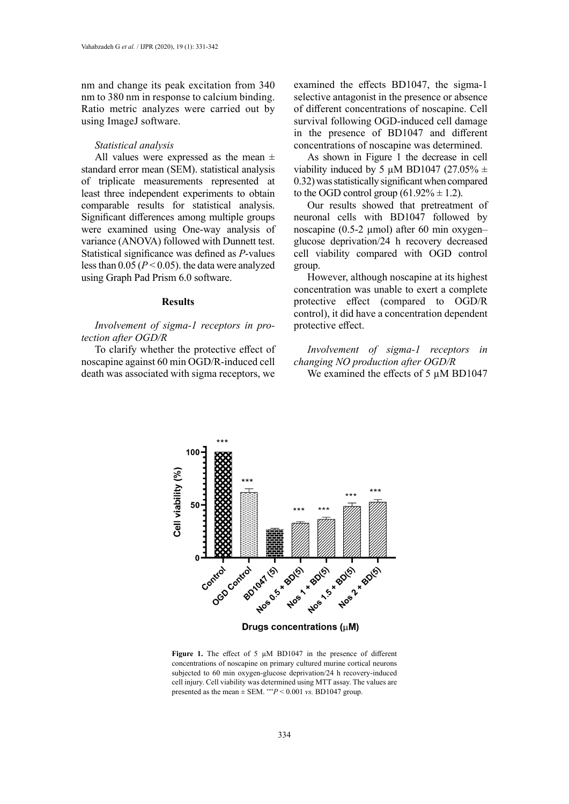nm and change its peak excitation from 340 nm to 380 nm in response to calcium binding. Ratio metric analyzes were carried out by using ImageJ software.

#### *Statistical analysis*

All values were expressed as the mean  $\pm$ standard error mean (SEM). statistical analysis of triplicate measurements represented at least three independent experiments to obtain comparable results for statistical analysis. Significant differences among multiple groups were examined using One-way analysis of variance (ANOVA) followed with Dunnett test. Statistical significance was defined as *P*-values less than 0.05 (*P* < 0.05). the data were analyzed using Graph Pad Prism 6.0 software.

#### **Results**

*Involvement of sigma-1 receptors in protection after OGD/R*

To clarify whether the protective effect of noscapine against 60 min OGD/R-induced cell death was associated with sigma receptors, we

examined the effects BD1047, the sigma-1 selective antagonist in the presence or absence of different concentrations of noscapine. Cell survival following OGD-induced cell damage in the presence of BD1047 and different concentrations of noscapine was determined.

As shown in Figure 1 the decrease in cell viability induced by 5  $\mu$ M BD1047 (27.05%  $\pm$ 0.32) was statistically significant when compared to the OGD control group  $(61.92\% \pm 1.2)$ .

Our results showed that pretreatment of neuronal cells with BD1047 followed by noscapine (0.5-2 µmol) after 60 min oxygen– glucose deprivation/24 h recovery decreased cell viability compared with OGD control group.

However, although noscapine at its highest concentration was unable to exert a complete protective effect (compared to OGD/R control), it did have a concentration dependent protective effect.

*Involvement of sigma-1 receptors in changing NO production after OGD/R*

We examined the effects of 5 μM BD1047



concentrations of noscapine on primary cultured murine cortical neurons subjected to 60 min oxygen-glucose deprivation/24 n recovery-induced<br>cell injury. Cell viability was determined using MTT assay. The values are presented as the mean  $\pm$  SEM. \*\**P* < 0.001 *vs.* BD1047 group. **Figure 1.** The effect of 5  $\mu$ M BD1047 in the presence of different subjected to 60 min oxygen-glucose deprivation/24 h recovery-induced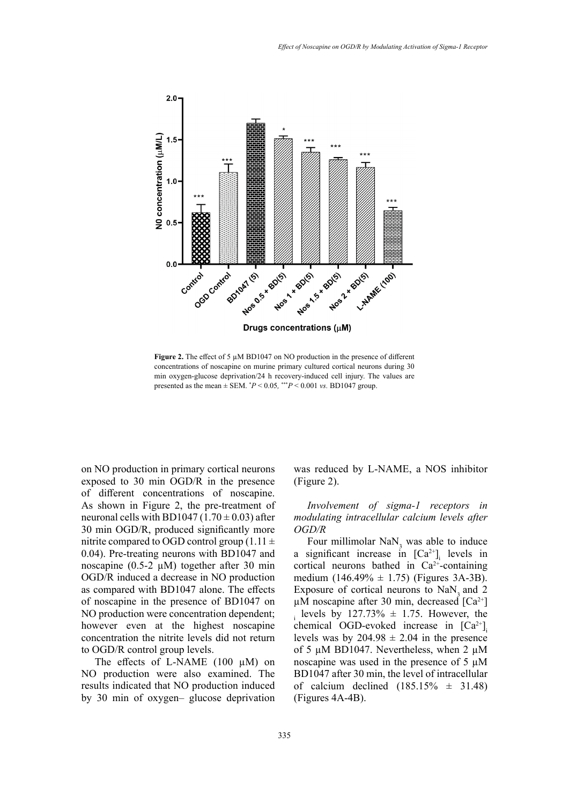

**Figure 2.** The effect of 5  $\mu$ M BD1047 on NO production in the presence of different min oxygen-glucose deprivation/24 h recovery-induced cell injury. The values are presented as the mean  $\pm$  SEM.  $*P < 0.05$ ,  $**P < 0.001$  *vs.* BD1047 group. concentrations of noscapine on murine primary cultured cortical neurons during 30

on NO production in primary cortical neurons exposed to 30 min OGD/R in the presence of different concentrations of noscapine. As shown in Figure 2, the pre-treatment of neuronal cells with BD1047 (1.70  $\pm$  0.03) after 30 min OGD/R, produced significantly more nitrite compared to OGD control group (1.11  $\pm$ 0.04). Pre-treating neurons with BD1047 and noscapine  $(0.5\n-2 \mu M)$  together after 30 min OGD/R induced a decrease in NO production as compared with BD1047 alone. The effects of noscapine in the presence of BD1047 on NO production were concentration dependent; however even at the highest noscapine concentration the nitrite levels did not return to OGD/R control group levels.

The effects of L-NAME  $(100 \mu M)$  on NO production were also examined. The results indicated that NO production induced by 30 min of oxygen– glucose deprivation was reduced by L-NAME, a NOS inhibitor (Figure 2).

*Involvement of sigma-1 receptors in modulating intracellular calcium levels after OGD/R*

Four millimolar  $\text{NaN}_3$  was able to induce a significant increase in  $[Ca^{2+}]$ <sub>i</sub> levels in cortical neurons bathed in  $Ca^{2+}$ -containing medium  $(146.49\% \pm 1.75)$  (Figures 3A-3B). Exposure of cortical neurons to NaN<sub>2</sub> and 2  $\mu$ M noscapine after 30 min, decreased [Ca<sup>2+</sup>] i levels by 127.73%  $\pm$  1.75. However, the chemical OGD-evoked increase in  $[Ca^{2+}]$ levels was by  $204.98 \pm 2.04$  in the presence of 5 µM BD1047. Nevertheless, when 2 µM noscapine was used in the presence of 5 µM BD1047 after 30 min, the level of intracellular of calcium declined  $(185.15\% \pm 31.48)$ (Figures 4A-4B).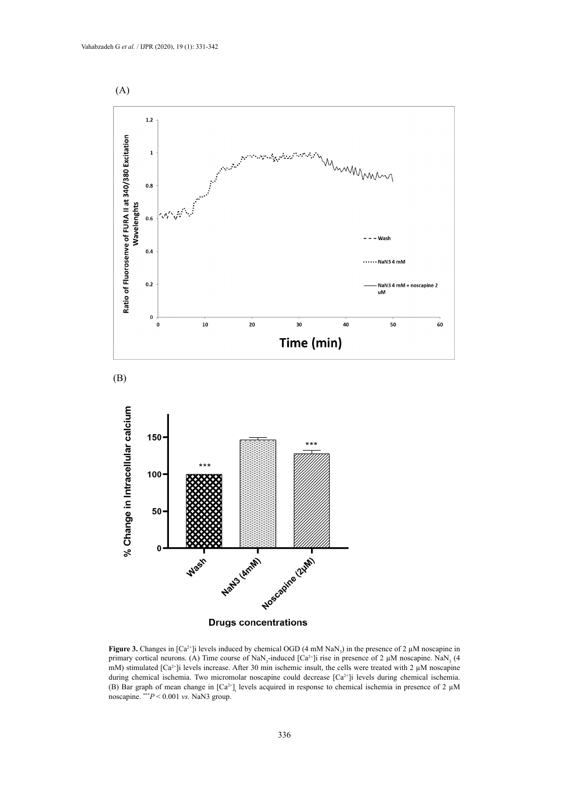



**Figure 3.** Changes in  $[Ca^{2+}]$  levels induced by chemical OGD  $(4 \text{ mM } \text{NaN}_3)$  in the presence of 2  $\mu$ M noscapine in primary cortical neurons. (A) Time course of NaN<sub>3</sub>-induced [Ca<sup>2+</sup>]i rise in presence of 2  $\mu$ M noscapine. NaN<sub>3</sub> (4 mM) stimulated [Ca<sup>2+</sup>]i levels increase. After 30 min ischemic insult, the cells were treated with 2 µM noscapine during chemical ischemia. Two micromolar noscapine could decrease [Ca<sup>2+</sup>]i levels during chemical ischemia. (B) Bar graph of mean change in  $[Ca^{2+}]$  levels acquired in response to chemical ischemia in presence of 2  $\mu$ M noscapine. \*\*\**P* < 0.001 *vs.* NaN3 group.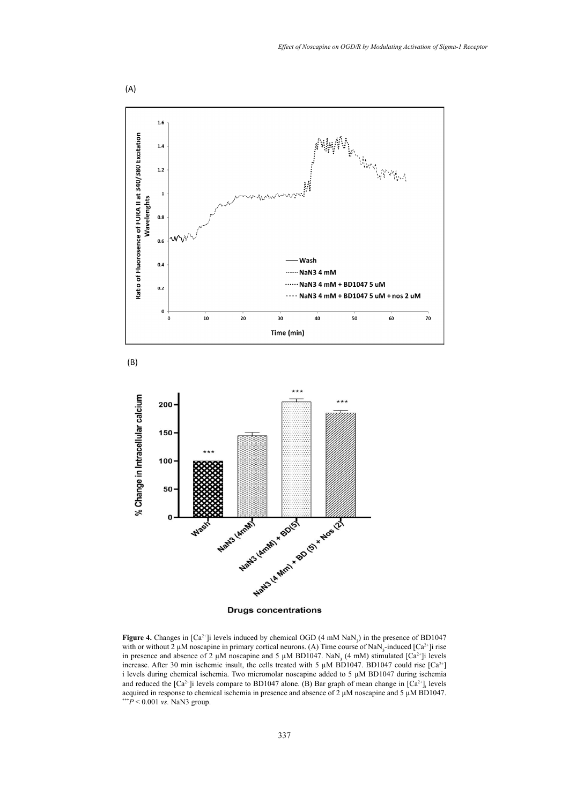

**Figure 4.** Changes in  $[Ca^{2+}]$ i levels induced by chemical OGD (4 mM NaN<sub>3</sub>) in the presence of BD1047 with or without 2  $\mu$ M noscapine in primary cortical neurons. (A) Time course of NaN<sub>3</sub>-induced [Ca<sup>2+</sup>]i rise in presence and absence of 2  $\mu$ M noscapine and 5  $\mu$ M BD1047. NaN<sub>3</sub> (4 mM) stimulated [Ca<sup>2+</sup>]i levels increase. After 30 min ischemic insult, the cells treated with 5  $\mu$ M BD1047. BD1047 could rise [Ca<sup>2+</sup>] i levels during chemical ischemia. Two micromolar noscapine added to 5 µM BD1047 during ischemia and reduced the  $[Ca^{2+}]$ i levels compare to BD1047 alone. (B) Bar graph of mean change in  $[Ca^{2+}]$ <sub>i</sub> levels acquired in response to chemical ischemia in presence and absence of 2 µM noscapine and 5 µM BD1047. \*\*\**P* < 0.001 *vs.* NaN3 group.

337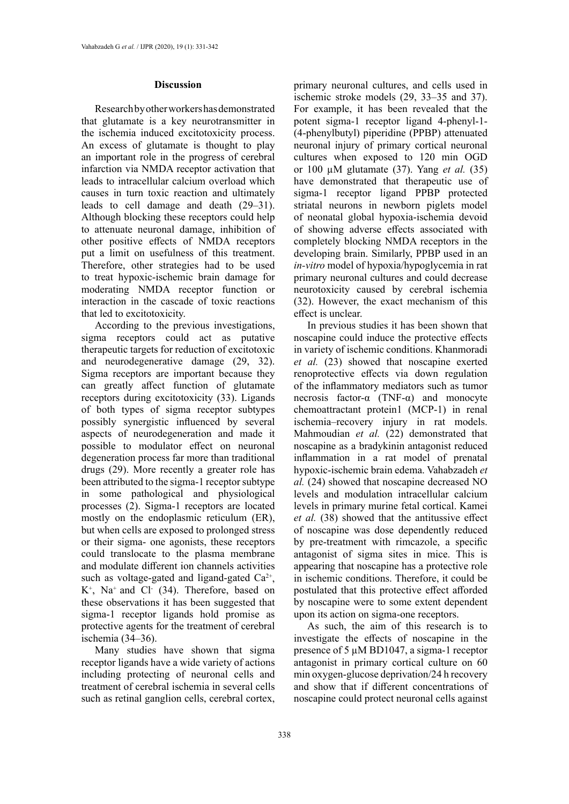#### **Discussion**

Research by other workers has demonstrated that glutamate is a key neurotransmitter in the ischemia induced excitotoxicity process. An excess of glutamate is thought to play an important role in the progress of cerebral infarction via NMDA receptor activation that leads to intracellular calcium overload which causes in turn toxic reaction and ultimately leads to cell damage and death (29–31). Although blocking these receptors could help to attenuate neuronal damage, inhibition of other positive effects of NMDA receptors put a limit on usefulness of this treatment. Therefore, other strategies had to be used to treat hypoxic-ischemic brain damage for moderating NMDA receptor function or interaction in the cascade of toxic reactions that led to excitotoxicity.

According to the previous investigations, sigma receptors could act as putative therapeutic targets for reduction of excitotoxic and neurodegenerative damage (29, 32). Sigma receptors are important because they can greatly affect function of glutamate receptors during excitotoxicity (33). Ligands of both types of sigma receptor subtypes possibly synergistic influenced by several aspects of neurodegeneration and made it possible to modulator effect on neuronal degeneration process far more than traditional drugs (29). More recently a greater role has been attributed to the sigma-1 receptor subtype in some pathological and physiological processes (2). Sigma-1 receptors are located mostly on the endoplasmic reticulum (ER), but when cells are exposed to prolonged stress or their sigma- one agonists, these receptors could translocate to the plasma membrane and modulate different ion channels activities such as voltage-gated and ligand-gated  $Ca^{2+}$ ,  $K^+$ , Na<sup>+</sup> and Cl<sup>-</sup> (34). Therefore, based on these observations it has been suggested that sigma-1 receptor ligands hold promise as protective agents for the treatment of cerebral ischemia (34–36).

Many studies have shown that sigma receptor ligands have a wide variety of actions including protecting of neuronal cells and treatment of cerebral ischemia in several cells such as retinal ganglion cells, cerebral cortex, primary neuronal cultures, and cells used in ischemic stroke models (29, 33–35 and 37). For example, it has been revealed that the potent sigma-1 receptor ligand 4-phenyl-1- (4-phenylbutyl) piperidine (PPBP) attenuated neuronal injury of primary cortical neuronal cultures when exposed to 120 min OGD or 100 µM glutamate (37). Yang *et al.* (35) have demonstrated that therapeutic use of sigma-1 receptor ligand PPBP protected striatal neurons in newborn piglets model of neonatal global hypoxia-ischemia devoid of showing adverse effects associated with completely blocking NMDA receptors in the developing brain. Similarly, PPBP used in an *in-vitro* model of hypoxia/hypoglycemia in rat primary neuronal cultures and could decrease neurotoxicity caused by cerebral ischemia (32). However, the exact mechanism of this effect is unclear.

In previous studies it has been shown that noscapine could induce the protective effects in variety of ischemic conditions. Khanmoradi *et al.* (23) showed that noscapine exerted renoprotective effects via down regulation of the inflammatory mediators such as tumor necrosis factor-α (TNF-α) and monocyte chemoattractant protein1 (MCP-1) in renal ischemia–recovery injury in rat models. Mahmoudian *et al.* (22) demonstrated that noscapine as a bradykinin antagonist reduced inflammation in a rat model of prenatal hypoxic-ischemic brain edema. Vahabzadeh *et al.* (24) showed that noscapine decreased NO levels and modulation intracellular calcium levels in primary murine fetal cortical. Kamei *et al.* (38) showed that the antitussive effect of noscapine was dose dependently reduced by pre-treatment with rimcazole, a specific antagonist of sigma sites in mice. This is appearing that noscapine has a protective role in ischemic conditions. Therefore, it could be postulated that this protective effect afforded by noscapine were to some extent dependent upon its action on sigma-one receptors.

As such, the aim of this research is to investigate the effects of noscapine in the presence of 5 µM BD1047, a sigma-1 receptor antagonist in primary cortical culture on 60 min oxygen-glucose deprivation/24 h recovery and show that if different concentrations of noscapine could protect neuronal cells against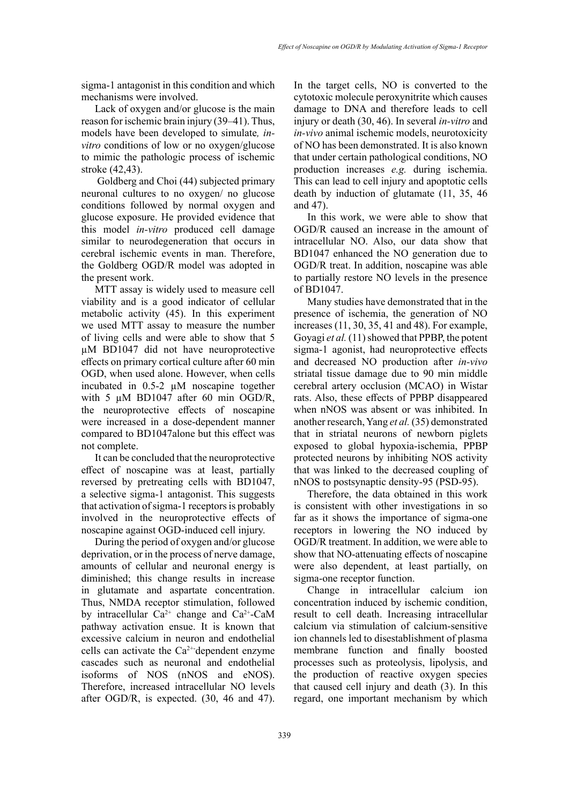sigma-1 antagonist in this condition and which mechanisms were involved.

Lack of oxygen and/or glucose is the main reason for ischemic brain injury (39–41). Thus, models have been developed to simulate*, invitro* conditions of low or no oxygen/glucose to mimic the pathologic process of ischemic stroke (42,43).

 Goldberg and Choi (44) subjected primary neuronal cultures to no oxygen/ no glucose conditions followed by normal oxygen and glucose exposure. He provided evidence that this model *in-vitro* produced cell damage similar to neurodegeneration that occurs in cerebral ischemic events in man. Therefore, the Goldberg OGD/R model was adopted in the present work.

MTT assay is widely used to measure cell viability and is a good indicator of cellular metabolic activity (45). In this experiment we used MTT assay to measure the number of living cells and were able to show that 5 µM BD1047 did not have neuroprotective effects on primary cortical culture after 60 min OGD, when used alone. However, when cells incubated in 0.5-2 µM noscapine together with 5  $\mu$ M BD1047 after 60 min OGD/R, the neuroprotective effects of noscapine were increased in a dose-dependent manner compared to BD1047alone but this effect was not complete.

It can be concluded that the neuroprotective effect of noscapine was at least, partially reversed by pretreating cells with BD1047, a selective sigma-1 antagonist. This suggests that activation of sigma-1 receptors is probably involved in the neuroprotective effects of noscapine against OGD-induced cell injury.

During the period of oxygen and/or glucose deprivation, or in the process of nerve damage, amounts of cellular and neuronal energy is diminished; this change results in increase in glutamate and aspartate concentration. Thus, NMDA receptor stimulation, followed by intracellular  $Ca^{2+}$  change and  $Ca^{2+}-CaM$ pathway activation ensue. It is known that excessive calcium in neuron and endothelial cells can activate the  $Ca^{2+}$ -dependent enzyme cascades such as neuronal and endothelial isoforms of NOS (nNOS and eNOS). Therefore, increased intracellular NO levels after OGD/R, is expected. (30, 46 and 47).

In the target cells, NO is converted to the cytotoxic molecule peroxynitrite which causes damage to DNA and therefore leads to cell injury or death (30, 46). In several *in-vitro* and *in-vivo* animal ischemic models, neurotoxicity of NO has been demonstrated. It is also known that under certain pathological conditions, NO production increases *e.g.* during ischemia. This can lead to cell injury and apoptotic cells death by induction of glutamate (11, 35, 46 and 47).

In this work, we were able to show that OGD/R caused an increase in the amount of intracellular NO. Also, our data show that BD1047 enhanced the NO generation due to OGD/R treat. In addition, noscapine was able to partially restore NO levels in the presence of BD1047.

Many studies have demonstrated that in the presence of ischemia, the generation of NO increases (11, 30, 35, 41 and 48). For example, Goyagi *et al.* (11) showed that PPBP, the potent sigma-1 agonist, had neuroprotective effects and decreased NO production after *in-vivo* striatal tissue damage due to 90 min middle cerebral artery occlusion (MCAO) in Wistar rats. Also, these effects of PPBP disappeared when nNOS was absent or was inhibited. In another research, Yang *et al.* (35) demonstrated that in striatal neurons of newborn piglets exposed to global hypoxia-ischemia, PPBP protected neurons by inhibiting NOS activity that was linked to the decreased coupling of nNOS to postsynaptic density-95 (PSD-95).

Therefore, the data obtained in this work is consistent with other investigations in so far as it shows the importance of sigma-one receptors in lowering the NO induced by OGD/R treatment. In addition, we were able to show that NO-attenuating effects of noscapine were also dependent, at least partially, on sigma-one receptor function.

Change in intracellular calcium ion concentration induced by ischemic condition, result to cell death. Increasing intracellular calcium via stimulation of calcium-sensitive ion channels led to disestablishment of plasma membrane function and finally boosted processes such as proteolysis, lipolysis, and the production of reactive oxygen species that caused cell injury and death (3). In this regard, one important mechanism by which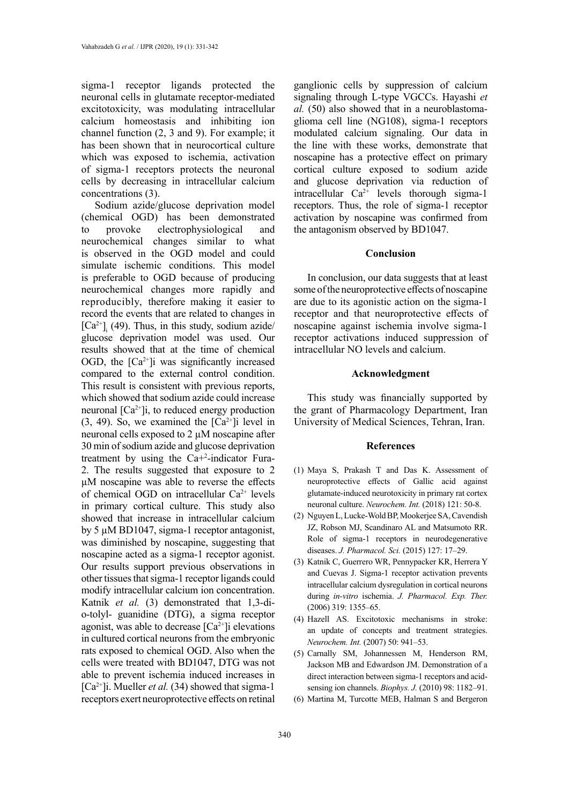sigma-1 receptor ligands protected the neuronal cells in glutamate receptor-mediated excitotoxicity, was modulating intracellular calcium homeostasis and inhibiting ion channel function (2, 3 and 9). For example; it has been shown that in neurocortical culture which was exposed to ischemia, activation of sigma-1 receptors protects the neuronal cells by decreasing in intracellular calcium concentrations (3).

Sodium azide/glucose deprivation model (chemical OGD) has been demonstrated to provoke electrophysiological and neurochemical changes similar to what is observed in the OGD model and could simulate ischemic conditions. This model is preferable to OGD because of producing neurochemical changes more rapidly and reproducibly, therefore making it easier to record the events that are related to changes in  $[Ca^{2+}]$ <sub>i</sub> (49). Thus, in this study, sodium azide/ glucose deprivation model was used. Our results showed that at the time of chemical OGD, the  $[Ca^{2+}]$ i was significantly increased compared to the external control condition. This result is consistent with previous reports, which showed that sodium azide could increase neuronal  $[Ca^{2+}]i$ , to reduced energy production  $(3, 49)$ . So, we examined the  $[Ca^{2+}]$ i level in neuronal cells exposed to 2 µM noscapine after 30 min of sodium azide and glucose deprivation treatment by using the Ca+2 -indicator Fura-2. The results suggested that exposure to 2 µM noscapine was able to reverse the effects of chemical OGD on intracellular Ca<sup>2+</sup> levels in primary cortical culture. This study also showed that increase in intracellular calcium by 5 µM BD1047, sigma-1 receptor antagonist, was diminished by noscapine, suggesting that noscapine acted as a sigma-1 receptor agonist. Our results support previous observations in other tissues that sigma-1 receptor ligands could modify intracellular calcium ion concentration. Katnik *et al.* (3) demonstrated that 1,3-dio-tolyl- guanidine (DTG), a sigma receptor agonist, was able to decrease  $[Ca^{2+}]$ i elevations in cultured cortical neurons from the embryonic rats exposed to chemical OGD. Also when the cells were treated with BD1047, DTG was not able to prevent ischemia induced increases in  $[Ca^{2+}]$ i. Mueller *et al.* (34) showed that sigma-1 receptors exert neuroprotective effects on retinal

ganglionic cells by suppression of calcium signaling through L-type VGCCs. Hayashi *et al.* (50) also showed that in a neuroblastomaglioma cell line (NG108), sigma-1 receptors modulated calcium signaling. Our data in the line with these works, demonstrate that noscapine has a protective effect on primary cortical culture exposed to sodium azide and glucose deprivation via reduction of intracellular  $Ca^{2+}$  levels thorough sigma-1 receptors. Thus, the role of sigma-1 receptor activation by noscapine was confirmed from the antagonism observed by BD1047.

## **Conclusion**

In conclusion, our data suggests that at least some of the neuroprotective effects of noscapine are due to its agonistic action on the sigma-1 receptor and that neuroprotective effects of noscapine against ischemia involve sigma-1 receptor activations induced suppression of intracellular NO levels and calcium.

#### **Acknowledgment**

This study was financially supported by the grant of Pharmacology Department, Iran University of Medical Sciences, Tehran, Iran.

#### **References**

- (1) Maya S, Prakash T and Das K. Assessment of neuroprotective effects of Gallic acid against glutamate-induced neurotoxicity in primary rat cortex neuronal culture. *Neurochem. Int.* (2018) 121: 50-8.
- (2) Nguyen L, Lucke-Wold BP, Mookerjee SA, Cavendish JZ, Robson MJ, Scandinaro AL and Matsumoto RR. Role of sigma-1 receptors in neurodegenerative diseases. *J. Pharmacol. Sci.* (2015) 127: 17–29.
- (3) Katnik C, Guerrero WR, Pennypacker KR, Herrera Y and Cuevas J. Sigma-1 receptor activation prevents intracellular calcium dysregulation in cortical neurons during *in-vitro* ischemia. *J. Pharmacol. Exp. Ther.* (2006) 319: 1355–65.
- (4) Hazell AS. Excitotoxic mechanisms in stroke: an update of concepts and treatment strategies. *Neurochem. Int.* (2007) 50: 941–53.
- (5) Carnally SM, Johannessen M, Henderson RM, Jackson MB and Edwardson JM. Demonstration of a direct interaction between sigma-1 receptors and acidsensing ion channels. *Biophys. J.* (2010) 98: 1182–91.
- (6) Martina M, Turcotte MEB, Halman S and Bergeron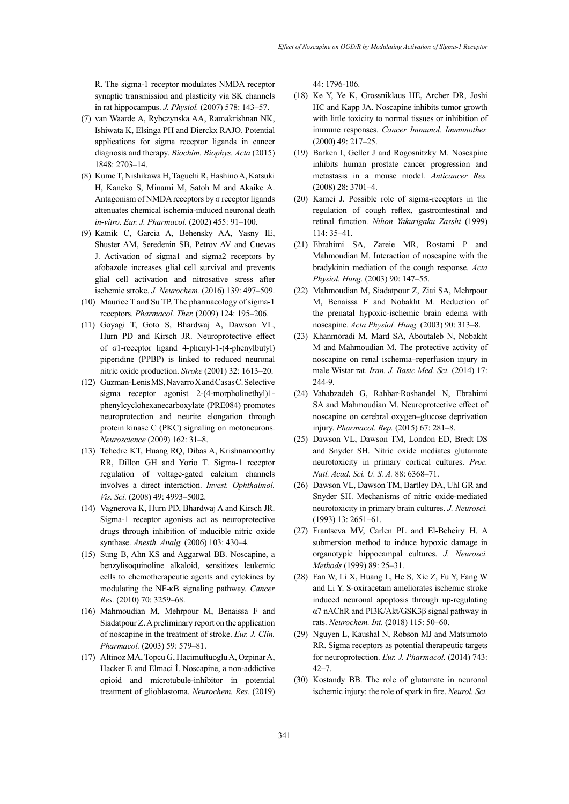R. The sigma-1 receptor modulates NMDA receptor synaptic transmission and plasticity via SK channels in rat hippocampus. *J. Physiol.* (2007) 578: 143–57.

- (7) van Waarde A, Rybczynska AA, Ramakrishnan NK, Ishiwata K, Elsinga PH and Dierckx RAJO. Potential applications for sigma receptor ligands in cancer diagnosis and therapy. *Biochim. Biophys. Acta* (2015) 1848: 2703–14.
- (8) Kume T, Nishikawa H, Taguchi R, Hashino A, Katsuki H, Kaneko S, Minami M, Satoh M and Akaike A. Antagonism of NMDA receptors by σ receptor ligands attenuates chemical ischemia-induced neuronal death *in-vitro*. *Eur. J. Pharmacol.* (2002) 455: 91–100.
- (9) Katnik C, Garcia A, Behensky AA, Yasny IE, Shuster AM, Seredenin SB, Petrov AV and Cuevas J. Activation of sigma1 and sigma2 receptors by afobazole increases glial cell survival and prevents glial cell activation and nitrosative stress after ischemic stroke. *J. Neurochem.* (2016) 139: 497–509.
- (10) Maurice T and Su TP. The pharmacology of sigma-1 receptors. *Pharmacol. Ther.* (2009) 124: 195–206.
- (11) Goyagi T, Goto S, Bhardwaj A, Dawson VL, Hurn PD and Kirsch JR. Neuroprotective effect of σ1-receptor ligand 4-phenyl-1-(4-phenylbutyl) piperidine (PPBP) is linked to reduced neuronal nitric oxide production. *Stroke* (2001) 32: 1613–20.
- (12) Guzman-Lenis MS, Navarro X and Casas C. Selective sigma receptor agonist 2-(4-morpholinethyl)1 phenylcyclohexanecarboxylate (PRE084) promotes neuroprotection and neurite elongation through protein kinase C (PKC) signaling on motoneurons. *Neuroscience* (2009) 162: 31–8.
- (13) Tchedre KT, Huang RQ, Dibas A, Krishnamoorthy RR, Dillon GH and Yorio T. Sigma-1 receptor regulation of voltage-gated calcium channels involves a direct interaction. *Invest. Ophthalmol. Vis. Sci.* (2008) 49: 4993–5002.
- (14) Vagnerova K, Hurn PD, Bhardwaj A and Kirsch JR. Sigma-1 receptor agonists act as neuroprotective drugs through inhibition of inducible nitric oxide synthase. *Anesth. Analg.* (2006) 103: 430–4.
- (15) Sung B, Ahn KS and Aggarwal BB. Noscapine, a benzylisoquinoline alkaloid, sensitizes leukemic cells to chemotherapeutic agents and cytokines by modulating the NF-κB signaling pathway. *Cancer Res.* (2010) 70: 3259–68.
- (16) Mahmoudian M, Mehrpour M, Benaissa F and Siadatpour Z. A preliminary report on the application of noscapine in the treatment of stroke. *Eur. J. Clin. Pharmacol.* (2003) 59: 579–81.
- (17) Altinoz MA, Topcu G, Hacimuftuoglu A, Ozpinar A, Hacker E and Elmaci İ. Noscapine, a non-addictive opioid and microtubule-inhibitor in potential treatment of glioblastoma. *Neurochem. Res.* (2019)

44: 1796-106.

- (18) Ke Y, Ye K, Grossniklaus HE, Archer DR, Joshi HC and Kapp JA. Noscapine inhibits tumor growth with little toxicity to normal tissues or inhibition of immune responses. *Cancer Immunol. Immunother.* (2000) 49: 217–25.
- (19) Barken I, Geller J and Rogosnitzky M. Noscapine inhibits human prostate cancer progression and metastasis in a mouse model. *Anticancer Res.* (2008) 28: 3701–4.
- (20) Kamei J. Possible role of sigma-receptors in the regulation of cough reflex, gastrointestinal and retinal function. *Nihon Yakurigaku Zasshi* (1999) 114: 35–41.
- (21) Ebrahimi SA, Zareie MR, Rostami P and Mahmoudian M. Interaction of noscapine with the bradykinin mediation of the cough response. *Acta Physiol. Hung.* (2003) 90: 147–55.
- (22) Mahmoudian M, Siadatpour Z, Ziai SA, Mehrpour M, Benaissa F and Nobakht M. Reduction of the prenatal hypoxic-ischemic brain edema with noscapine. *Acta Physiol. Hung.* (2003) 90: 313–8.
- (23) Khanmoradi M, Mard SA, Aboutaleb N, Nobakht M and Mahmoudian M. The protective activity of noscapine on renal ischemia–reperfusion injury in male Wistar rat. *Iran. J. Basic Med. Sci.* (2014) 17: 244-9.
- (24) Vahabzadeh G, Rahbar-Roshandel N, Ebrahimi SA and Mahmoudian M. Neuroprotective effect of noscapine on cerebral oxygen–glucose deprivation injury. *Pharmacol. Rep.* (2015) 67: 281–8.
- (25) Dawson VL, Dawson TM, London ED, Bredt DS and Snyder SH. Nitric oxide mediates glutamate neurotoxicity in primary cortical cultures. *Proc. Natl. Acad. Sci. U. S. A.* 88: 6368–71.
- (26) Dawson VL, Dawson TM, Bartley DA, Uhl GR and Snyder SH. Mechanisms of nitric oxide-mediated neurotoxicity in primary brain cultures. *J. Neurosci.* (1993) 13: 2651–61.
- (27) Frantseva MV, Carlen PL and El-Beheiry H. A submersion method to induce hypoxic damage in organotypic hippocampal cultures. *J. Neurosci. Methods* (1999) 89: 25–31.
- (28) Fan W, Li X, Huang L, He S, Xie Z, Fu Y, Fang W and Li Y. S-oxiracetam ameliorates ischemic stroke induced neuronal apoptosis through up-regulating α7 nAChR and PI3K/Akt/GSK3β signal pathway in rats. *Neurochem. Int.* (2018) 115: 50–60.
- (29) Nguyen L, Kaushal N, Robson MJ and Matsumoto RR. Sigma receptors as potential therapeutic targets for neuroprotection. *Eur. J. Pharmacol.* (2014) 743: 42–7.
- (30) Kostandy BB. The role of glutamate in neuronal ischemic injury: the role of spark in fire. *Neurol. Sci.*